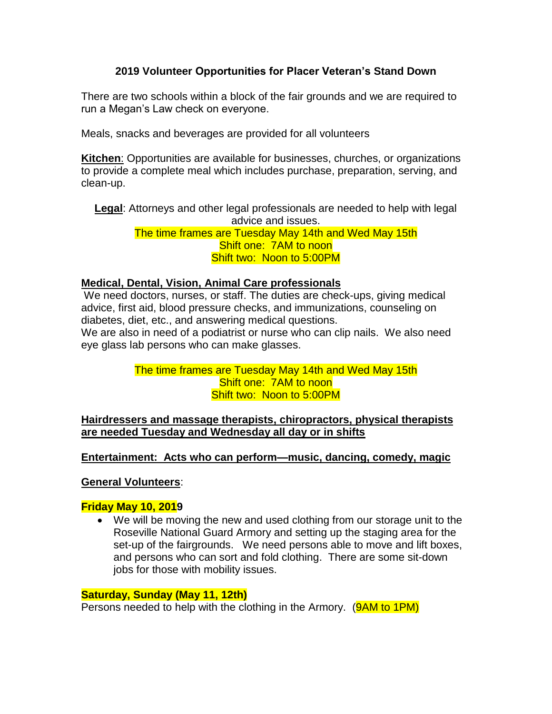# **2019 Volunteer Opportunities for Placer Veteran's Stand Down**

There are two schools within a block of the fair grounds and we are required to run a Megan's Law check on everyone.

Meals, snacks and beverages are provided for all volunteers

**Kitchen**: Opportunities are available for businesses, churches, or organizations to provide a complete meal which includes purchase, preparation, serving, and clean-up.

**Legal**: Attorneys and other legal professionals are needed to help with legal advice and issues. The time frames are Tuesday May 14th and Wed May 15th Shift one: 7AM to noon

Shift two: Noon to 5:00PM

## **Medical, Dental, Vision, Animal Care professionals**

We need doctors, nurses, or staff. The duties are check-ups, giving medical advice, first aid, blood pressure checks, and immunizations, counseling on diabetes, diet, etc., and answering medical questions.

We are also in need of a podiatrist or nurse who can clip nails. We also need eye glass lab persons who can make glasses.

## The time frames are Tuesday May 14th and Wed May 15th Shift one: 7AM to noon Shift two: Noon to 5:00PM

**Hairdressers and massage therapists, chiropractors, physical therapists are needed Tuesday and Wednesday all day or in shifts**

### **Entertainment: Acts who can perform—music, dancing, comedy, magic**

**General Volunteers**:

### **Friday May 10, 2019**

• We will be moving the new and used clothing from our storage unit to the Roseville National Guard Armory and setting up the staging area for the set-up of the fairgrounds. We need persons able to move and lift boxes, and persons who can sort and fold clothing. There are some sit-down jobs for those with mobility issues.

### **Saturday, Sunday (May 11, 12th)**

Persons needed to help with the clothing in the Armory. (**9AM to 1PM**)